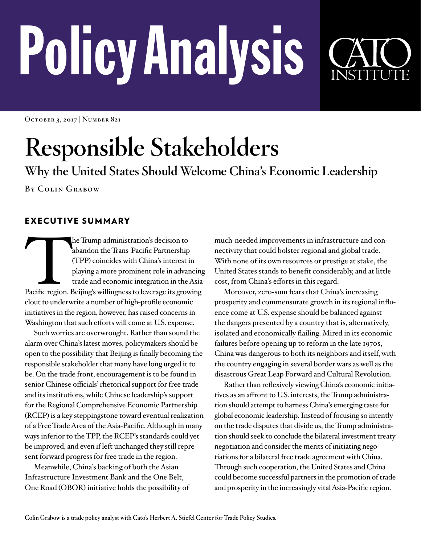# PolicyAnalysis



**October 3, 2017 | Number 821**

## **Responsible Stakeholders**

**Why the United States Should Welcome China's Economic Leadership**

**By Colin Grabow**

### EXECUTIVE SUMMARY

The Trump administration's decision to<br>
abandon the Trans-Pacific Partnership<br>
(TPP) coincides with China's interest in<br>
playing a more prominent role in advancing<br>
trade and economic integration in the Asia<br>
Pacific regio abandon the Trans-Pacific Partnership (TPP) coincides with China's interest in playing a more prominent role in advancing trade and economic integration in the Asiaclout to underwrite a number of high-profile economic initiatives in the region, however, has raised concerns in Washington that such efforts will come at U.S. expense.

Such worries are overwrought. Rather than sound the alarm over China's latest moves, policymakers should be open to the possibility that Beijing is finally becoming the responsible stakeholder that many have long urged it to be. On the trade front, encouragement is to be found in senior Chinese officials' rhetorical support for free trade and its institutions, while Chinese leadership's support for the Regional Comprehensive Economic Partnership (RCEP) is a key steppingstone toward eventual realization of a Free Trade Area of the Asia-Pacific. Although in many ways inferior to the TPP, the RCEP's standards could yet be improved, and even if left unchanged they still represent forward progress for free trade in the region.

Meanwhile, China's backing of both the Asian Infrastructure Investment Bank and the One Belt, One Road (OBOR) initiative holds the possibility of much-needed improvements in infrastructure and connectivity that could bolster regional and global trade. With none of its own resources or prestige at stake, the United States stands to benefit considerably, and at little cost, from China's efforts in this regard.

Moreover, zero-sum fears that China's increasing prosperity and commensurate growth in its regional influence come at U.S. expense should be balanced against the dangers presented by a country that is, alternatively, isolated and economically flailing. Mired in its economic failures before opening up to reform in the late 1970s, China was dangerous to both its neighbors and itself, with the country engaging in several border wars as well as the disastrous Great Leap Forward and Cultural Revolution.

Rather than reflexively viewing China's economic initiatives as an affront to U.S. interests, the Trump administration should attempt to harness China's emerging taste for global economic leadership. Instead of focusing so intently on the trade disputes that divide us, the Trump administration should seek to conclude the bilateral investment treaty negotiation and consider the merits of initiating negotiations for a bilateral free trade agreement with China. Through such cooperation, the United States and China could become successful partners in the promotion of trade and prosperity in the increasingly vital Asia-Pacific region.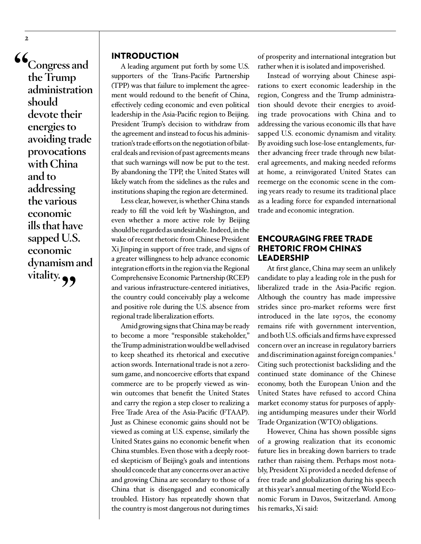**"Congress and the Trump administration should devote their energies to avoiding trade provocations with China and to addressing the various economic ills that have sapped U.S. economic dynamism and**  vitality. **99** 

**2**

#### INTRODUCTION

A leading argument put forth by some U.S. supporters of the Trans-Pacific Partnership (TPP) was that failure to implement the agreement would redound to the benefit of China, effectively ceding economic and even political leadership in the Asia-Pacific region to Beijing. President Trump's decision to withdraw from the agreement and instead to focus his administration's trade efforts on the negotiation of bilateral deals and revision of past agreements means that such warnings will now be put to the test. By abandoning the TPP, the United States will likely watch from the sidelines as the rules and institutions shaping the region are determined.

Less clear, however, is whether China stands ready to fill the void left by Washington, and even whether a more active role by Beijing should be regarded as undesirable. Indeed, in the wake of recent rhetoric from Chinese President Xi Jinping in support of free trade, and signs of a greater willingness to help advance economic integration efforts in the region via the Regional Comprehensive Economic Partnership (RCEP) and various infrastructure-centered initiatives, the country could conceivably play a welcome and positive role during the U.S. absence from regional trade liberalization efforts.

Amid growing signs that China may be ready to become a more "responsible stakeholder," the Trump administration would be well advised to keep sheathed its rhetorical and executive action swords. International trade is not a zerosum game, and noncoercive efforts that expand commerce are to be properly viewed as winwin outcomes that benefit the United States and carry the region a step closer to realizing a Free Trade Area of the Asia-Pacific (FTAAP). Just as Chinese economic gains should not be viewed as coming at U.S. expense, similarly the United States gains no economic benefit when China stumbles. Even those with a deeply rooted skepticism of Beijing's goals and intentions should concede that any concerns over an active and growing China are secondary to those of a China that is disengaged and economically troubled. History has repeatedly shown that the country is most dangerous not during times

of prosperity and international integration but rather when it is isolated and impoverished.

Instead of worrying about Chinese aspirations to exert economic leadership in the region, Congress and the Trump administration should devote their energies to avoiding trade provocations with China and to addressing the various economic ills that have sapped U.S. economic dynamism and vitality. By avoiding such lose-lose entanglements, further advancing freer trade through new bilateral agreements, and making needed reforms at home, a reinvigorated United States can reemerge on the economic scene in the coming years ready to resume its traditional place as a leading force for expanded international trade and economic integration.

#### ENCOURAGING FREE TRADE RHETORIC FROM CHINA'S LEADERSHIP

At first glance, China may seem an unlikely candidate to play a leading role in the push for liberalized trade in the Asia-Pacific region. Although the country has made impressive strides since pro-market reforms were first introduced in the late 1970s, the economy remains rife with government intervention, and both U.S. officials and firms have expressed concern over an increase in regulatory barriers and discrimination against foreign companies.<sup>1</sup> Citing such protectionist backsliding and the continued state dominance of the Chinese economy, both the European Union and the United States have refused to accord China market economy status for purposes of applying antidumping measures under their World Trade Organization (WTO) obligations.

However, China has shown possible signs of a growing realization that its economic future lies in breaking down barriers to trade rather than raising them. Perhaps most notably, President Xi provided a needed defense of free trade and globalization during his speech at this year's annual meeting of the World Economic Forum in Davos, Switzerland. Among his remarks, Xi said: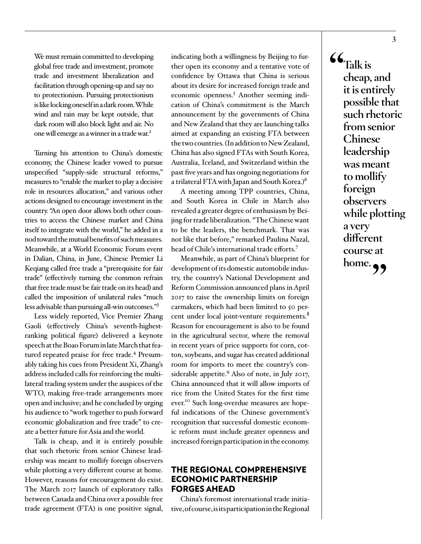We must remain committed to developing global free trade and investment, promote trade and investment liberalization and facilitation through opening-up and say no to protectionism. Pursuing protectionism is like locking oneself in a dark room. While wind and rain may be kept outside, that dark room will also block light and air. No one will emerge as a winner in a trade war.<sup>[2](#page-9-1)</sup>

Turning his attention to China's domestic economy, the Chinese leader vowed to pursue unspecified "supply-side structural reforms," measures to "enable the market to play a decisive role in resources allocation," and various other actions designed to encourage investment in the country. "An open door allows both other countries to access the Chinese market and China itself to integrate with the world," he added in a nod toward the mutual benefits of such measures. Meanwhile, at a World Economic Forum event in Dalian, China, in June, Chinese Premier Li Keqiang called free trade a "prerequisite for fair trade" (effectively turning the common refrain that free trade must be fair trade on its head) and called the imposition of unilateral rules "much less advisable than pursuing all-win outcomes.["3](#page-9-2)

Less widely reported, Vice Premier Zhang Gaoli (effectively China's seventh-highestranking political figure) delivered a keynote speech at the Boao Forum in late March that fea-tured repeated praise for free trade.<sup>[4](#page-9-3)</sup> Presumably taking his cues from President Xi, Zhang's address included calls for reinforcing the multilateral trading system under the auspices of the WTO, making free-trade arrangements more open and inclusive; and he concluded by urging his audience to "work together to push forward economic globalization and free trade" to create a better future for Asia and the world.

Talk is cheap, and it is entirely possible that such rhetoric from senior Chinese leadership was meant to mollify foreign observers while plotting a very different course at home. However, reasons for encouragement do exist. The March 2017 launch of exploratory talks between Canada and China over a possible free trade agreement (FTA) is one positive signal,

indicating both a willingness by Beijing to further open its economy and a tentative vote of confidence by Ottawa that China is serious about its desire for increased foreign trade and economic openness.<sup>5</sup> Another seeming indication of China's commitment is the March announcement by the governments of China and New Zealand that they are launching talks aimed at expanding an existing FTA between the two countries. (In addition to New Zealand, China has also signed FTAs with South Korea, Australia, Iceland, and Switzerland within the past five years and has ongoing negotiations for a trilateral FTA with Japan and South Korea.)[6](#page-9-5)

A meeting among TPP countries, China, and South Korea in Chile in March also revealed a greater degree of enthusiasm by Beijing for trade liberalization. "The Chinese want to be the leaders, the benchmark. That was not like that before," remarked Paulina Nazal, head of Chile's international trade efforts[.7](#page-9-6)

Meanwhile, as part of China's blueprint for development of its domestic automobile industry, the country's National Development and Reform Commission announced plans in April 2017 to raise the ownership limits on foreign carmakers, which had been limited to 50 percent under local joint-venture requirements.<sup>8</sup> Reason for encouragement is also to be found in the agricultural sector, where the removal in recent years of price supports for corn, cotton, soybeans, and sugar has created additional room for imports to meet the country's con-siderable appetite.<sup>[9](#page-9-8)</sup> Also of note, in July 2017, China announced that it will allow imports of rice from the United States for the first time ever.<sup>10</sup> Such long-overdue measures are hopeful indications of the Chinese government's recognition that successful domestic economic reform must include greater openness and increased foreign participation in the economy.

#### THE REGIONAL COMPREHENSIVE ECONOMIC PARTNERSHIP FORGES AHEAD

China's foremost international trade initiative, of course, is its participation in the Regional **"Talk is cheap, and it is entirely possible that such rhetoric from senior Chinese leadership was meant to mollify foreign observers while plotting a very different course at home.**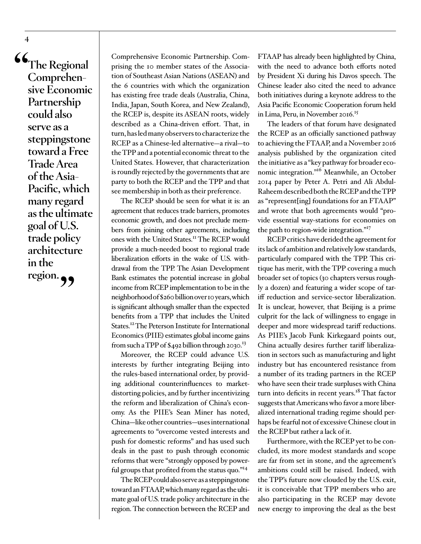**"The Regional Comprehensive Economic Partnership could also serve as a steppingstone toward a Free Trade Area of the Asia-Pacific, which many regard as the ultimate goal of U.S. trade policy architecture in the**  region. **99** 

**4**

Comprehensive Economic Partnership. Comprising the 10 member states of the Association of Southeast Asian Nations (ASEAN) and the 6 countries with which the organization has existing free trade deals (Australia, China, India, Japan, South Korea, and New Zealand), the RCEP is, despite its ASEAN roots, widely described as a China-driven effort. That, in turn, has led many observers to characterize the RCEP as a Chinese-led alternative—a rival—to the TPP and a potential economic threat to the United States. However, that characterization is roundly rejected by the governments that are party to both the RCEP and the TPP and that see membership in both as their preference.

The RCEP should be seen for what it is: an agreement that reduces trade barriers, promotes economic growth, and does not preclude members from joining other agreements, including ones with the United States[.11](#page-9-10) The RCEP would provide a much-needed boost to regional trade liberalization efforts in the wake of U.S. withdrawal from the TPP. The Asian Development Bank estimates the potential increase in global income from RCEP implementation to be in the neighborhood of \$260 billion over 10 years, which is significant although smaller than the expected benefits from a TPP that includes the United States.<sup>12</sup> The Peterson Institute for International Economics (PIIE) estimates global income gains from such a TPP of  $\frac{1}{2}$  billion through 2030.<sup>13</sup>

Moreover, the RCEP could advance U.S. interests by further integrating Beijing into the rules-based international order, by providing additional counterinfluences to marketdistorting policies, and by further incentivizing the reform and liberalization of China's economy. As the PIIE's Sean Miner has noted, China—like other countries—uses international agreements to "overcome vested interests and push for domestic reforms" and has used such deals in the past to push through economic reforms that were "strongly opposed by powerful groups that profited from the status quo."<sup>14</sup>

The RCEP could also serve as a steppingstone toward an FTAAP, which many regard as the ultimate goal of U.S. trade policy architecture in the region. The connection between the RCEP and

FTAAP has already been highlighted by China, with the need to advance both efforts noted by President Xi during his Davos speech. The Chinese leader also cited the need to advance both initiatives during a keynote address to the Asia Pacific Economic Cooperation forum held in Lima, Peru, in November 2016.<sup>15</sup>

The leaders of that forum have designated the RCEP as an officially sanctioned pathway to achieving the FTAAP, and a November 2016 analysis published by the organization cited the initiative as a "key pathway for broader economic integration."<sup>16</sup> Meanwhile, an October 2014 paper by Peter A. Petri and Ali Abdul-Raheem described both the RCEP and the TPP as "represent[ing] foundations for an FTAAP" and wrote that both agreements would "provide essential way-stations for economies on the path to region-wide integration."<sup>17</sup>

RCEP critics have derided the agreement for its lack of ambition and relatively low standards, particularly compared with the TPP. This critique has merit, with the TPP covering a much broader set of topics (30 chapters versus roughly a dozen) and featuring a wider scope of tariff reduction and service-sector liberalization. It is unclear, however, that Beijing is a prime culprit for the lack of willingness to engage in deeper and more widespread tariff reductions. As PIIE's Jacob Funk Kirkegaard points out, China actually desires further tariff liberalization in sectors such as manufacturing and light industry but has encountered resistance from a number of its trading partners in the RCEP who have seen their trade surpluses with China turn into deficits in recent years.<sup>18</sup> That factor suggests that Americans who favor a more liberalized international trading regime should perhaps be fearful not of excessive Chinese clout in the RCEP but rather a lack of it.

Furthermore, with the RCEP yet to be concluded, its more modest standards and scope are far from set in stone, and the agreement's ambitions could still be raised. Indeed, with the TPP's future now clouded by the U.S. exit, it is conceivable that TPP members who are also participating in the RCEP may devote new energy to improving the deal as the best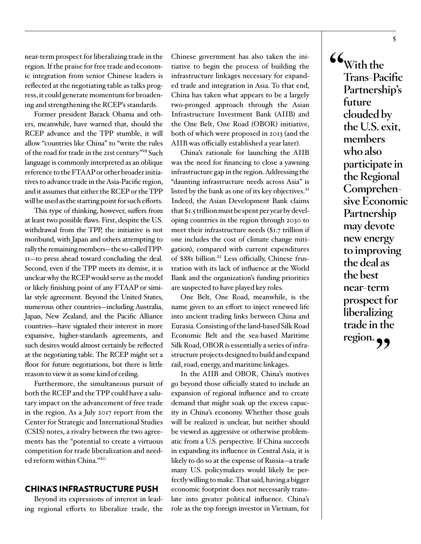near-term prospect for liberalizing trade in the region. If the praise for free trade and economic integration from senior Chinese leaders is reflected at the negotiating table as talks progress, it could generate momentum for broadening and strengthening the RCEP's standards.

Former president Barack Obama and others, meanwhile, have warned that, should the RCEP advance and the TPP stumble, it will allow "countries like China" to "write the rules of the road for trade in the 21st century.["19](#page-10-2) Such language is commonly interpreted as an oblique reference to the FTAAP or other broader initiatives to advance trade in the Asia-Pacific region, and it assumes that either the RCEP or the TPP will be used as the starting point for such efforts.

This type of thinking, however, suffers from at least two possible flaws. First, despite the U.S. withdrawal from the TPP, the initiative is not moribund, with Japan and others attempting to rally the remaining members—the so-called TPP-11—to press ahead toward concluding the deal. Second, even if the TPP meets its demise, it is unclear why the RCEP would serve as the model or likely finishing point of any FTAAP or similar style agreement. Beyond the United States, numerous other countries—including Australia, Japan, New Zealand, and the Pacific Alliance countries—have signaled their interest in more expansive, higher-standards agreements, and such desires would almost certainly be reflected at the negotiating table. The RCEP might set a floor for future negotiations, but there is little reason to view it as some kind of ceiling.

Furthermore, the simultaneous pursuit of both the RCEP and the TPP could have a salutary impact on the advancement of free trade in the region. As a July 2017 report from the Center for Strategic and International Studies (CSIS) notes, a rivalry between the two agreements has the "potential to create a virtuous competition for trade liberalization and needed reform within China."[20](#page-10-3)

#### CHINA'S INFRASTRUCTURE PUSH

Beyond its expressions of interest in leading regional efforts to liberalize trade, the Chinese government has also taken the initiative to begin the process of building the infrastructure linkages necessary for expanded trade and integration in Asia. To that end, China has taken what appears to be a largely two-pronged approach through the Asian Infrastructure Investment Bank (AIIB) and the One Belt, One Road (OBOR) initiative, both of which were proposed in 2013 (and the AIIB was officially established a year later).

China's rationale for launching the AIIB was the need for financing to close a yawning infrastructure gap in the region. Addressing the "daunting infrastructure needs across Asia" is listed by the bank as one of its key objectives.<sup>[21](#page-10-4)</sup> Indeed, the Asian Development Bank claims that \$1.5 trillion must be spent per year by developing countries in the region through 2030 to meet their infrastructure needs (\$1.7 trillion if one includes the cost of climate change mitigation), compared with current expenditures of \$881 billion.<sup>22</sup> Less officially, Chinese frustration with its lack of influence at the World Bank and the organization's funding priorities are suspected to have played key roles.

One Belt, One Road, meanwhile, is the name given to an effort to inject renewed life into ancient trading links between China and Eurasia. Consisting of the land-based Silk Road Economic Belt and the sea-based Maritime Silk Road, OBOR is essentially a series of infrastructure projects designed to build and expand rail, road, energy, and maritime linkages.

In the AIIB and OBOR, China's motives go beyond those officially stated to include an expansion of regional influence and to create demand that might soak up the excess capacity in China's economy. Whether those goals will be realized is unclear, but neither should be viewed as aggressive or otherwise problematic from a U.S. perspective. If China succeeds in expanding its influence in Central Asia, it is likely to do so at the expense of Russia—a trade many U.S. policymakers would likely be perfectly willing to make. That said, having a bigger economic footprint does not necessarily translate into greater political influence. China's role as the top foreign investor in Vietnam, for

**"With the Trans-Pacific Partnership's future clouded by the U.S. exit, members who also participate in the Regional Comprehensive Economic Partnership may devote new energy to improving the deal as the best near-term prospect for liberalizing trade in the**  region.  $\bullet$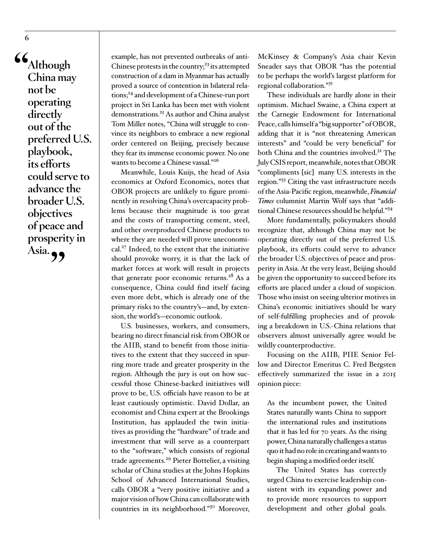**"Although China may not be operating directly out of the preferred U.S. playbook, its efforts could serve to advance the broader U.S. objectives of peace and prosperity in**  Asia. **99** 

**6**

example, has not prevented outbreaks of anti-Chinese protests in the country;<sup>[23](#page-10-6)</sup> its attempted construction of a dam in Myanmar has actually proved a source of contention in bilateral relations;<sup>24</sup> and development of a Chinese-run port project in Sri Lanka has been met with violent demonstrations[.25](#page-10-8) As author and China analyst Tom Miller notes, "China will struggle to convince its neighbors to embrace a new regional order centered on Beijing, precisely because they fear its immense economic power. No one wants to become a Chinese vassal."<sup>[26](#page-10-9)</sup>

Meanwhile, Louis Kuijs, the head of Asia economics at Oxford Economics, notes that OBOR projects are unlikely to figure prominently in resolving China's overcapacity problems because their magnitude is too great and the costs of transporting cement, steel, and other overproduced Chinese products to where they are needed will prove uneconomical.<sup>27</sup> Indeed, to the extent that the initiative should provoke worry, it is that the lack of market forces at work will result in projects that generate poor economic returns.<sup>28</sup> As a consequence, China could find itself facing even more debt, which is already one of the primary risks to the country's—and, by extension, the world's—economic outlook.

U.S. businesses, workers, and consumers, bearing no direct financial risk from OBOR or the AIIB, stand to benefit from those initiatives to the extent that they succeed in spurring more trade and greater prosperity in the region. Although the jury is out on how successful those Chinese-backed initiatives will prove to be, U.S. officials have reason to be at least cautiously optimistic. David Dollar, an economist and China expert at the Brookings Institution, has applauded the twin initiatives as providing the "hardware" of trade and investment that will serve as a counterpart to the "software," which consists of regional trade agreements[.29](#page-10-12) Pieter Bottelier, a visiting scholar of China studies at the Johns Hopkins School of Advanced International Studies, calls OBOR a "very positive initiative and a major vision of how China can collaborate with countries in its neighborhood."[30](#page-10-13) Moreover,

McKinsey & Company's Asia chair Kevin Sneader says that OBOR "has the potential to be perhaps the world's largest platform for regional collaboration."[31](#page-10-14)

These individuals are hardly alone in their optimism. Michael Swaine, a China expert at the Carnegie Endowment for International Peace, calls himself a "big supporter" of OBOR, adding that it is "not threatening American interests" and "could be very beneficial" for both China and the countries involved.<sup>[32](#page-10-15)</sup> The July CSIS report, meanwhile, notes that OBOR "compliments [sic] many U.S. interests in the region.["33](#page-11-0) Citing the vast infrastructure needs of the Asia-Pacific region, meanwhile, *Financial Times* columnist Martin Wolf says that "additional Chinese resources should be helpful.["34](#page-11-1)

More fundamentally, policymakers should recognize that, although China may not be operating directly out of the preferred U.S. playbook, its efforts could serve to advance the broader U.S. objectives of peace and prosperity in Asia. At the very least, Beijing should be given the opportunity to succeed before its efforts are placed under a cloud of suspicion. Those who insist on seeing ulterior motives in China's economic initiatives should be wary of self-fulfilling prophecies and of provoking a breakdown in U.S.-China relations that observers almost universally agree would be wildly counterproductive.

Focusing on the AIIB, PIIE Senior Fellow and Director Emeritus C. Fred Bergsten effectively summarized the issue in a 2015 opinion piece:

As the incumbent power, the United States naturally wants China to support the international rules and institutions that it has led for 70 years. As the rising power, China naturally challenges a status quo it had no role in creating and wants to begin shaping a modified order itself.

The United States has correctly urged China to exercise leadership consistent with its expanding power and to provide more resources to support development and other global goals.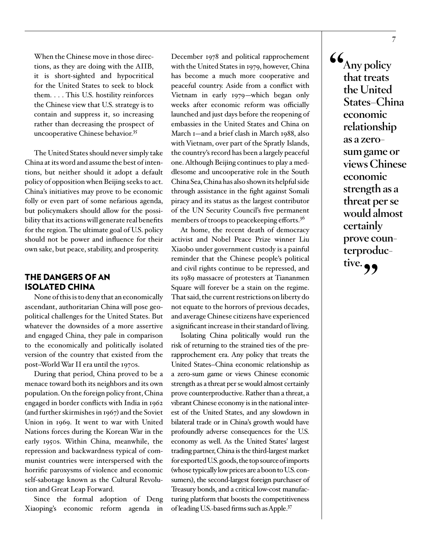When the Chinese move in those directions, as they are doing with the AIIB, it is short-sighted and hypocritical for the United States to seek to block them. . . . This U.S. hostility reinforces the Chinese view that U.S. strategy is to contain and suppress it, so increasing rather than decreasing the prospect of uncooperative Chinese behavior.<sup>35</sup>

The United States should never simply take China at its word and assume the best of intentions, but neither should it adopt a default policy of opposition when Beijing seeks to act. China's initiatives may prove to be economic folly or even part of some nefarious agenda, but policymakers should allow for the possibility that its actions will generate real benefits for the region. The ultimate goal of U.S. policy should not be power and influence for their own sake, but peace, stability, and prosperity.

#### THE DANGERS OF AN ISOLATED CHINA

None of this is to deny that an economically ascendant, authoritarian China will pose geopolitical challenges for the United States. But whatever the downsides of a more assertive and engaged China, they pale in comparison to the economically and politically isolated version of the country that existed from the post–World War II era until the 1970s.

During that period, China proved to be a menace toward both its neighbors and its own population. On the foreign policy front, China engaged in border conflicts with India in 1962 (and further skirmishes in 1967) and the Soviet Union in 1969. It went to war with United Nations forces during the Korean War in the early 1950s. Within China, meanwhile, the repression and backwardness typical of communist countries were interspersed with the horrific paroxysms of violence and economic self-sabotage known as the Cultural Revolution and Great Leap Forward.

Since the formal adoption of Deng Xiaoping's economic reform agenda in December 1978 and political rapprochement with the United States in 1979, however, China has become a much more cooperative and peaceful country. Aside from a conflict with Vietnam in early 1979—which began only weeks after economic reform was officially launched and just days before the reopening of embassies in the United States and China on March 1—and a brief clash in March 1988, also with Vietnam, over part of the Spratly Islands, the country's record has been a largely peaceful one. Although Beijing continues to play a meddlesome and uncooperative role in the South China Sea, China has also shown its helpful side through assistance in the fight against Somali piracy and its status as the largest contributor of the UN Security Council's five permanent members of troops to peacekeeping efforts.<sup>36</sup>

At home, the recent death of democracy activist and Nobel Peace Prize winner Liu Xiaobo under government custody is a painful reminder that the Chinese people's political and civil rights continue to be repressed, and its 1989 massacre of protesters at Tiananmen Square will forever be a stain on the regime. That said, the current restrictions on liberty do not equate to the horrors of previous decades, and average Chinese citizens have experienced a significant increase in their standard of living.

Isolating China politically would run the risk of returning to the strained ties of the prerapprochement era. Any policy that treats the United States–China economic relationship as a zero-sum game or views Chinese economic strength as a threat per se would almost certainly prove counterproductive. Rather than a threat, a vibrant Chinese economy is in the national interest of the United States, and any slowdown in bilateral trade or in China's growth would have profoundly adverse consequences for the U.S. economy as well. As the United States' largest trading partner, China is the third-largest market for exported U.S. goods, the top source of imports (whose typically low prices are a boon to U.S. consumers), the second-largest foreign purchaser of Treasury bonds, and a critical low-cost manufacturing platform that boosts the competitiveness of leading U.S.-based firms such as Apple[.37](#page-11-4)

**"Any policy that treats the United States–China economic relationship as a zerosum game or views Chinese economic strength as a threat per se would almost certainly prove counterproductive."**

**7**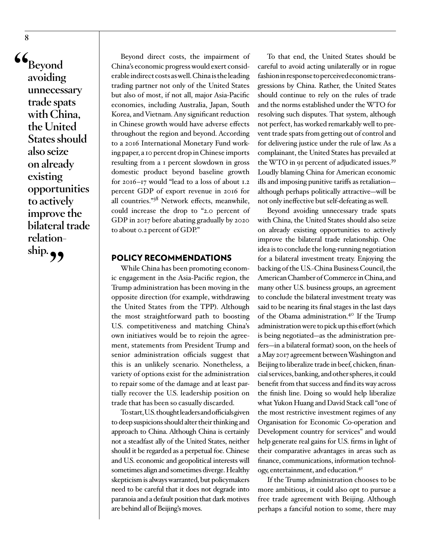**"Beyond avoiding unnecessary trade spats with China, the United States should also seize on already existing opportunities to actively improve the bilateral trade relationship."**

Beyond direct costs, the impairment of China's economic progress would exert considerable indirect costs as well. China is the leading trading partner not only of the United States but also of most, if not all, major Asia-Pacific economies, including Australia, Japan, South Korea, and Vietnam. Any significant reduction in Chinese growth would have adverse effects throughout the region and beyond. According to a 2016 International Monetary Fund working paper, a 10 percent drop in Chinese imports resulting from a 1 percent slowdown in gross domestic product beyond baseline growth for 2016–17 would "lead to a loss of about 1.2 percent GDP of export revenue in 2016 for all countries.["38](#page-11-5) Network effects, meanwhile, could increase the drop to "2.0 percent of GDP in 2017 before abating gradually by 2020 to about 0.2 percent of GDP."

#### POLICY RECOMMENDATIONS

While China has been promoting economic engagement in the Asia-Pacific region, the Trump administration has been moving in the opposite direction (for example, withdrawing the United States from the TPP). Although the most straightforward path to boosting U.S. competitiveness and matching China's own initiatives would be to rejoin the agreement, statements from President Trump and senior administration officials suggest that this is an unlikely scenario. Nonetheless, a variety of options exist for the administration to repair some of the damage and at least partially recover the U.S. leadership position on trade that has been so casually discarded.

To start, U.S. thought leaders and officials given to deep suspicions should alter their thinking and approach to China. Although China is certainly not a steadfast ally of the United States, neither should it be regarded as a perpetual foe. Chinese and U.S. economic and geopolitical interests will sometimes align and sometimes diverge. Healthy skepticism is always warranted, but policymakers need to be careful that it does not degrade into paranoia and a default position that dark motives are behind all of Beijing's moves.

To that end, the United States should be careful to avoid acting unilaterally or in rogue fashion in response to perceived economic transgressions by China. Rather, the United States should continue to rely on the rules of trade and the norms established under the WTO for resolving such disputes. That system, although not perfect, has worked remarkably well to prevent trade spats from getting out of control and for delivering justice under the rule of law. As a complainant, the United States has prevailed at the WTO in 91 percent of adjudicated issues.[39](#page-11-6) Loudly blaming China for American economic ills and imposing punitive tariffs as retaliation although perhaps politically attractive—will be not only ineffective but self-defeating as well.

Beyond avoiding unnecessary trade spats with China, the United States should also seize on already existing opportunities to actively improve the bilateral trade relationship. One idea is to conclude the long-running negotiation for a bilateral investment treaty. Enjoying the backing of the U.S.-China Business Council, the American Chamber of Commerce in China, and many other U.S. business groups, an agreement to conclude the bilateral investment treaty was said to be nearing its final stages in the last days of the Obama administration[.40](#page-11-7) If the Trump administration were to pick up this effort (which is being negotiated—as the administration prefers—in a bilateral format) soon, on the heels of a May 2017 agreement between Washington and Beijing to liberalize trade in beef, chicken, financial services, banking, and other spheres, it could benefit from that success and find its way across the finish line. Doing so would help liberalize what Yukon Huang and David Stack call "one of the most restrictive investment regimes of any Organisation for Economic Co-operation and Development country for services" and would help generate real gains for U.S. firms in light of their comparative advantages in areas such as finance, communications, information technology, entertainment, and education.<sup>41</sup>

If the Trump administration chooses to be more ambitious, it could also opt to pursue a free trade agreement with Beijing. Although perhaps a fanciful notion to some, there may

**8**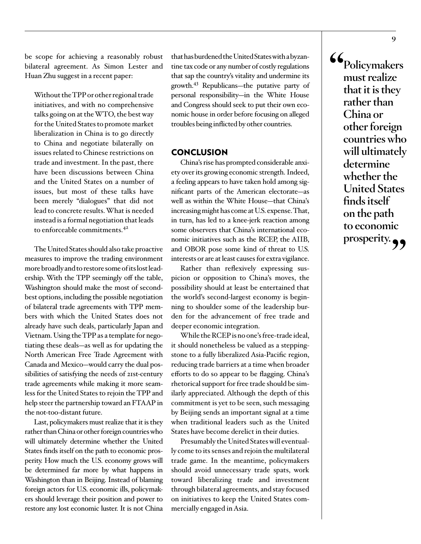be scope for achieving a reasonably robust bilateral agreement. As Simon Lester and Huan Zhu suggest in a recent paper:

Without the TPP or other regional trade initiatives, and with no comprehensive talks going on at the WTO, the best way for the United States to promote market liberalization in China is to go directly to China and negotiate bilaterally on issues related to Chinese restrictions on trade and investment. In the past, there have been discussions between China and the United States on a number of issues, but most of these talks have been merely "dialogues" that did not lead to concrete results. What is needed instead is a formal negotiation that leads to enforceable commitments.[42](#page-11-9)

The United States should also take proactive measures to improve the trading environment more broadly and to restore some of its lost leadership. With the TPP seemingly off the table, Washington should make the most of secondbest options, including the possible negotiation of bilateral trade agreements with TPP members with which the United States does not already have such deals, particularly Japan and Vietnam. Using the TPP as a template for negotiating these deals—as well as for updating the North American Free Trade Agreement with Canada and Mexico—would carry the dual possibilities of satisfying the needs of 21st-century trade agreements while making it more seamless for the United States to rejoin the TPP and help steer the partnership toward an FTAAP in the not-too-distant future.

Last, policymakers must realize that it is they rather than China or other foreign countries who will ultimately determine whether the United States finds itself on the path to economic prosperity. How much the U.S. economy grows will be determined far more by what happens in Washington than in Beijing. Instead of blaming foreign actors for U.S. economic ills, policymakers should leverage their position and power to restore any lost economic luster. It is not China

that has burdened the United States with a byzantine tax code or any number of costly regulations that sap the country's vitality and undermine its growth[.43](#page-11-10) Republicans—the putative party of personal responsibility—in the White House and Congress should seek to put their own economic house in order before focusing on alleged troubles being inflicted by other countries.

#### **CONCLUSION**

China's rise has prompted considerable anxiety over its growing economic strength. Indeed, a feeling appears to have taken hold among significant parts of the American electorate—as well as within the White House—that China's increasing might has come at U.S. expense. That, in turn, has led to a knee-jerk reaction among some observers that China's international economic initiatives such as the RCEP, the AIIB, and OBOR pose some kind of threat to U.S. interests or are at least causes for extra vigilance.

Rather than reflexively expressing suspicion or opposition to China's moves, the possibility should at least be entertained that the world's second-largest economy is beginning to shoulder some of the leadership burden for the advancement of free trade and deeper economic integration.

While the RCEP is no one's free-trade ideal, it should nonetheless be valued as a steppingstone to a fully liberalized Asia-Pacific region, reducing trade barriers at a time when broader efforts to do so appear to be flagging. China's rhetorical support for free trade should be similarly appreciated. Although the depth of this commitment is yet to be seen, such messaging by Beijing sends an important signal at a time when traditional leaders such as the United States have become derelict in their duties.

Presumably the United States will eventually come to its senses and rejoin the multilateral trade game. In the meantime, policymakers should avoid unnecessary trade spats, work toward liberalizing trade and investment through bilateral agreements, and stay focused on initiatives to keep the United States commercially engaged in Asia.

**"Policymakers must realize that it is they rather than China or other foreign countries who will ultimately determine whether the United States finds itself on the path to economic**  prosperity.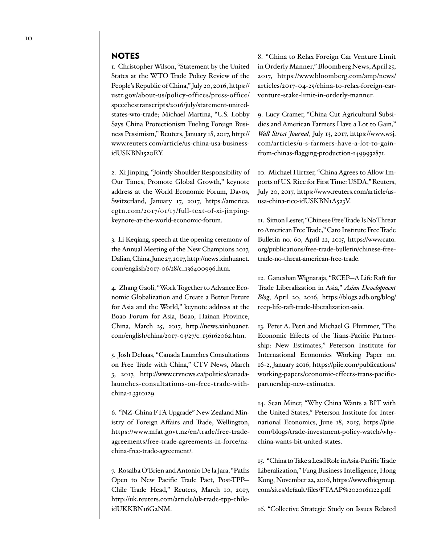#### NOTES

<span id="page-9-0"></span>1. Christopher Wilson, "Statement by the United States at the WTO Trade Policy Review of the People's Republic of China," July 20, 2016, [https://](https://ustr.gov/about-us/policy-offices/press-office/speechestranscripts/2016/july/statement-united-states-wto-trade) [ustr.gov/about-us/policy-offices/press-office/](https://ustr.gov/about-us/policy-offices/press-office/speechestranscripts/2016/july/statement-united-states-wto-trade) [speechestranscripts/2016/july/statement-united](https://ustr.gov/about-us/policy-offices/press-office/speechestranscripts/2016/july/statement-united-states-wto-trade)[states-wto-trade](https://ustr.gov/about-us/policy-offices/press-office/speechestranscripts/2016/july/statement-united-states-wto-trade); Michael Martina, "U.S. Lobby Says China Protectionism Fueling Foreign Business Pessimism," Reuters, January 18, 2017, [http://](http://www.reuters.com/article/us-china-usa-business-idUSKBN1520EY) [www.reuters.com/article/us-china-usa-business](http://www.reuters.com/article/us-china-usa-business-idUSKBN1520EY)[idUSKBN1520EY.](http://www.reuters.com/article/us-china-usa-business-idUSKBN1520EY)

<span id="page-9-1"></span>2. Xi Jinping, "Jointly Shoulder Responsibility of Our Times, Promote Global Growth," keynote address at the World Economic Forum, Davos, Switzerland, January 17, 2017, [https://america.](https://america.cgtn.com/2017/01/17/full-text-of-xi-jinping-keynote-at-the-world-economic-forum) [cgtn.com/2017/01/17/full-text-of-xi-jinping](https://america.cgtn.com/2017/01/17/full-text-of-xi-jinping-keynote-at-the-world-economic-forum)[keynote-at-the-world-economic-forum](https://america.cgtn.com/2017/01/17/full-text-of-xi-jinping-keynote-at-the-world-economic-forum).

<span id="page-9-2"></span>3. Li Keqiang, speech at the opening ceremony of the Annual Meeting of the New Champions 2017, Dalian, China, June 27, 2017, http://news.xinhuanet. com/english/2017-06/28/c\_136400996.htm.

<span id="page-9-3"></span>4. Zhang Gaoli, "Work Together to Advance Economic Globalization and Create a Better Future for Asia and the World," keynote address at the Boao Forum for Asia, Boao, Hainan Province, China, March 25, 2017, [http://news.xinhuanet.](http://news.xinhuanet.com/english/china/2017-03/27/c_136162062.htm) [com/english/china/2017-03/27/c\\_136162062.htm.](http://news.xinhuanet.com/english/china/2017-03/27/c_136162062.htm)

<span id="page-9-4"></span>5. Josh Dehaas, "Canada Launches Consultations on Free Trade with China," CTV News, March 3, 2017, [http://www.ctvnews.ca/politics/canada](http://www.ctvnews.ca/politics/canada-launches-consultations-on-free-trade-with-china-1.3310129)[launches-consultations-on-free-trade-with](http://www.ctvnews.ca/politics/canada-launches-consultations-on-free-trade-with-china-1.3310129)[china-1.3310129](http://www.ctvnews.ca/politics/canada-launches-consultations-on-free-trade-with-china-1.3310129).

<span id="page-9-5"></span>6. "NZ-China FTA Upgrade" New Zealand Ministry of Foreign Affairs and Trade, Wellington, [https://www.mfat.govt.nz/en/trade/free-trade](https://www.mfat.govt.nz/en/trade/free-trade-agreements/free-trade-agreements-in-force/nz-china-free-trade-agreement/)[agreements/free-trade-agreements-in-force/nz](https://www.mfat.govt.nz/en/trade/free-trade-agreements/free-trade-agreements-in-force/nz-china-free-trade-agreement/)[china-free-trade-agreement/](https://www.mfat.govt.nz/en/trade/free-trade-agreements/free-trade-agreements-in-force/nz-china-free-trade-agreement/).

<span id="page-9-6"></span>7. Rosalba O'Brien and Antonio De la Jara, "Paths Open to New Pacific Trade Pact, Post-TPP— Chile Trade Head," Reuters, March 10, 2017, [http://uk.reuters.com/article/uk-trade-tpp-chile](http://uk.reuters.com/article/uk-trade-tpp-chile-idUKKBN16G2NM)[idUKKBN16G2NM.](http://uk.reuters.com/article/uk-trade-tpp-chile-idUKKBN16G2NM)

<span id="page-9-7"></span>8. "China to Relax Foreign Car Venture Limit in Orderly Manner," Bloomberg News, April 25, 2017, [https://www.bloomberg.com/amp/news/](https://www.bloomberg.com/amp/news/articles/2017-04-25/china-to-relax-foreign-car-venture-stake-limit-in-orderly-manner) [articles/2017-04-25/china-to-relax-foreign-car](https://www.bloomberg.com/amp/news/articles/2017-04-25/china-to-relax-foreign-car-venture-stake-limit-in-orderly-manner)[venture-stake-limit-in-orderly-manner](https://www.bloomberg.com/amp/news/articles/2017-04-25/china-to-relax-foreign-car-venture-stake-limit-in-orderly-manner).

<span id="page-9-8"></span>9. Lucy Cramer, "China Cut Agricultural Subsidies and American Farmers Have a Lot to Gain," *Wall Street Journal*, July 13, 2017, https://www.wsj. com/articles/u-s-farmers-have-a-lot-to-gainfrom-chinas-flagging-production-1499932871.

<span id="page-9-9"></span>10. Michael Hirtzer, "China Agrees to Allow Imports of U.S. Rice for First Time: USDA," Reuters, July 20, 2017, https://www.reuters.com/article/ususa-china-rice-idUSKBN1A523V.

<span id="page-9-10"></span>11. Simon Lester, "Chinese Free Trade Is No Threat to American Free Trade," Cato Institute Free Trade Bulletin no. 60, April 22, 2015, [https://www.cato.](https://www.cato.org/publications/free-trade-bulletin/chinese-free-trade-no-threat-american-free-trade) [org/publications/free-trade-bulletin/chinese-free](https://www.cato.org/publications/free-trade-bulletin/chinese-free-trade-no-threat-american-free-trade)[trade-no-threat-american-free-trade.](https://www.cato.org/publications/free-trade-bulletin/chinese-free-trade-no-threat-american-free-trade)

<span id="page-9-11"></span>12. Ganeshan Wignaraja, "RCEP—A Life Raft for Trade Liberalization in Asia," *Asian Development Blog*, April 20, 2016, [https://blogs.adb.org/blog/](https://blogs.adb.org/blog/rcep-life-raft-trade-liberalization-asia) [rcep-life-raft-trade-liberalization-asia](https://blogs.adb.org/blog/rcep-life-raft-trade-liberalization-asia).

<span id="page-9-12"></span>13. Peter A. Petri and Michael G. Plummer, "The Economic Effects of the Trans-Pacific Partnership: New Estimates," Peterson Institute for International Economics Working Paper no. 16-2, January 2016, https://piie.com/publications/ working-papers/economic-effects-trans-pacificpartnership-new-estimates.

<span id="page-9-13"></span>14. Sean Miner, "Why China Wants a BIT with the United States," Peterson Institute for International Economics, June 18, 2015, [https://piie.](https://piie.com/blogs/trade-investment-policy-watch/why-china-wants-bit-united-states) [com/blogs/trade-investment-policy-watch/why](https://piie.com/blogs/trade-investment-policy-watch/why-china-wants-bit-united-states)[china-wants-bit-united-states](https://piie.com/blogs/trade-investment-policy-watch/why-china-wants-bit-united-states).

<span id="page-9-14"></span>15. "China to Take a Lead Role in Asia-Pacific Trade Liberalization," Fung Business Intelligence, Hong Kong, November 22, 2016, [https://www.fbicgroup.](https://www.fbicgroup.com/sites/default/files/FTAAP%2020161122.pdf) [com/sites/default/files/FTAAP%2020161122.pdf](https://www.fbicgroup.com/sites/default/files/FTAAP%2020161122.pdf).

<span id="page-9-15"></span>16. "Collective Strategic Study on Issues Related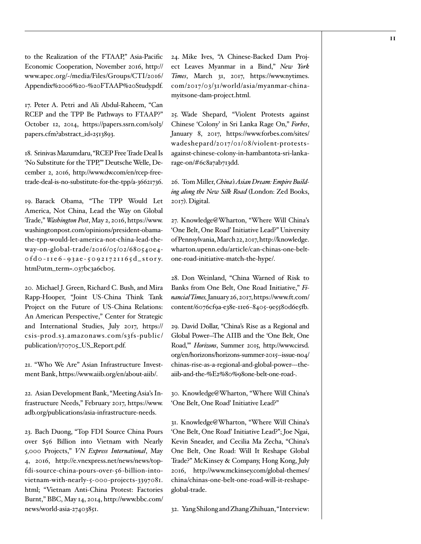to the Realization of the FTAAP," Asia-Pacific Economic Cooperation, November 2016, [http://](http://www.apec.org/~/media/Files/Groups/CTI/2016/Appendix%2006%20-%20FTAAP%20Study.pdf) [www.apec.org/~/media/Files/Groups/CTI/2016/](http://www.apec.org/~/media/Files/Groups/CTI/2016/Appendix%2006%20-%20FTAAP%20Study.pdf) [Appendix%2006%20-%20FTAAP%20Study.pdf.](http://www.apec.org/~/media/Files/Groups/CTI/2016/Appendix%2006%20-%20FTAAP%20Study.pdf)

<span id="page-10-0"></span>17. Peter A. Petri and Ali Abdul-Raheem, "Can RCEP and the TPP Be Pathways to FTAAP?" October 12, 2014, [https://papers.ssrn.com/sol3/](https://papers.ssrn.com/sol3/papers.cfm?abstract_id=2513893) [papers.cfm?abstract\\_id=2513893.](https://papers.ssrn.com/sol3/papers.cfm?abstract_id=2513893)

<span id="page-10-1"></span>18. Srinivas Mazumdaru, "RCEP Free Trade Deal Is 'No Substitute for the TPP,'" Deutsche Welle, December 2, 2016, [http://www.dw.com/en/rcep-free](http://www.dw.com/en/rcep-free-trade-deal-is-no-substitute-for-the-tpp/a-36621736)[trade-deal-is-no-substitute-for-the-tpp/a-36621736.](http://www.dw.com/en/rcep-free-trade-deal-is-no-substitute-for-the-tpp/a-36621736)

<span id="page-10-2"></span>19. Barack Obama, "The TPP Would Let America, Not China, Lead the Way on Global Trade," *Washington Post*, May 2, 2016, [https://www.](https://www.washingtonpost.com/opinions/president-obama-the-tpp-would-let-america-not-china-lead-the-way-on-global-trade/2016/05/02/680540e4-0fd0-11e6-93ae-50921721165d_story.html?utm_term=.037bc3a6cb05) [washingtonpost.com/opinions/president-obama](https://www.washingtonpost.com/opinions/president-obama-the-tpp-would-let-america-not-china-lead-the-way-on-global-trade/2016/05/02/680540e4-0fd0-11e6-93ae-50921721165d_story.html?utm_term=.037bc3a6cb05)[the-tpp-would-let-america-not-china-lead-the](https://www.washingtonpost.com/opinions/president-obama-the-tpp-would-let-america-not-china-lead-the-way-on-global-trade/2016/05/02/680540e4-0fd0-11e6-93ae-50921721165d_story.html?utm_term=.037bc3a6cb05)[way-on-global-trade/2016/05/02/680540e4](https://www.washingtonpost.com/opinions/president-obama-the-tpp-would-let-america-not-china-lead-the-way-on-global-trade/2016/05/02/680540e4-0fd0-11e6-93ae-50921721165d_story.html?utm_term=.037bc3a6cb05)  $of do - 11e6 - 93ae - 50921721165d_ - story.$ [html?utm\\_term=.037bc3a6cb05](https://www.washingtonpost.com/opinions/president-obama-the-tpp-would-let-america-not-china-lead-the-way-on-global-trade/2016/05/02/680540e4-0fd0-11e6-93ae-50921721165d_story.html?utm_term=.037bc3a6cb05).

<span id="page-10-3"></span>20. Michael J. Green, Richard C. Bush, and Mira Rapp-Hooper, "Joint US-China Think Tank Project on the Future of US-China Relations: An American Perspective," Center for Strategic and International Studies, July 2017, https:// csis-prod.s3.amazonaws.com/s3fs-public/ publication/170705\_US\_Report.pdf.

<span id="page-10-4"></span>21. "Who We Are" Asian Infrastructure Investment Bank,<https://www.aiib.org/en/about-aiib/>.

<span id="page-10-5"></span>22. Asian Development Bank, "Meeting Asia's Infrastructure Needs," February 2017, [https://www.](https://www.adb.org/publications/asia-infrastructure-needs) [adb.org/publications/asia-infrastructure-needs](https://www.adb.org/publications/asia-infrastructure-needs).

<span id="page-10-6"></span>23. Bach Duong, "Top FDI Source China Pours over \$56 Billion into Vietnam with Nearly 5,000 Projects," *VN Express International*, May 4, 2016, [http://e.vnexpress.net/news/news/top](http://e.vnexpress.net/news/news/top-fdi-source-china-pours-over-56-billion-into-vietnam-with-nearly-5-000-projects-3397081.html)[fdi-source-china-pours-over-56 -billion-into](http://e.vnexpress.net/news/news/top-fdi-source-china-pours-over-56-billion-into-vietnam-with-nearly-5-000-projects-3397081.html)[vietnam-with-nearly-5-000-projects-3397081.](http://e.vnexpress.net/news/news/top-fdi-source-china-pours-over-56-billion-into-vietnam-with-nearly-5-000-projects-3397081.html) [html;](http://e.vnexpress.net/news/news/top-fdi-source-china-pours-over-56-billion-into-vietnam-with-nearly-5-000-projects-3397081.html) "Vietnam Anti-China Protest: Factories Burnt," BBC, May 14, 2014, [http://www.bbc.com/](http://www.bbc.com/news/world-asia-27403851) [news/world-asia-27403851.](http://www.bbc.com/news/world-asia-27403851)

<span id="page-10-7"></span>24. Mike Ives, "A Chinese-Backed Dam Project Leaves Myanmar in a Bind," *New York Times*, March 31, 2017, [https://www.nytimes.](https://www.nytimes.com/2017/03/31/world/asia/myanmar-china-myitsone-dam-project.html) [com/2017/03/31/world/asia/myanmar-china](https://www.nytimes.com/2017/03/31/world/asia/myanmar-china-myitsone-dam-project.html)[myitsone-dam-project.html](https://www.nytimes.com/2017/03/31/world/asia/myanmar-china-myitsone-dam-project.html).

<span id="page-10-8"></span>25. Wade Shepard, "Violent Protests against Chinese 'Colony' in Sri Lanka Rage On," *Forbes*, January 8, 2017, [https://www.forbes.com/sites/](https://www.forbes.com/sites/wadeshepard/2017/01/08/violent-protests-against-chinese-colony-in-hambantota-sri-lanka-rage-on/%236c8a7ab713dd) [wadeshepard/2017/01/08/violent-protests](https://www.forbes.com/sites/wadeshepard/2017/01/08/violent-protests-against-chinese-colony-in-hambantota-sri-lanka-rage-on/%236c8a7ab713dd)[against-chinese-colony-in-hambantota-sri-lanka](https://www.forbes.com/sites/wadeshepard/2017/01/08/violent-protests-against-chinese-colony-in-hambantota-sri-lanka-rage-on/%236c8a7ab713dd)[rage-on/#6c8a7ab713dd.](https://www.forbes.com/sites/wadeshepard/2017/01/08/violent-protests-against-chinese-colony-in-hambantota-sri-lanka-rage-on/%236c8a7ab713dd)

<span id="page-10-9"></span>26. Tom Miller, *China's Asian Dream: Empire Building along the New Silk Road* (London: Zed Books, 2017). Digital.

<span id="page-10-10"></span>27. Knowledge@Wharton, "Where Will China's 'One Belt, One Road' Initiative Lead?" University of Pennsylvania, March 22, 2017, [http://knowledge.](http://knowledge.wharton.upenn.edu/article/can-chinas-one-belt-one-road-initiative-match-the-hype/) [wharton.upenn.edu/article/can-chinas-one-belt](http://knowledge.wharton.upenn.edu/article/can-chinas-one-belt-one-road-initiative-match-the-hype/)[one-road-initiative-match-the-hype/.](http://knowledge.wharton.upenn.edu/article/can-chinas-one-belt-one-road-initiative-match-the-hype/)

<span id="page-10-11"></span>28. Don Weinland, "China Warned of Risk to Banks from One Belt, One Road Initiative," *Financial Times,* January 26, 2017, [https://www.ft.com/](https://www.ft.com/content/6076cf9a-e38e-11e6-8405-9e5580d6e5fb) [content/6076cf9a-e38e-11e6-8405-9e5580d6e5fb.](https://www.ft.com/content/6076cf9a-e38e-11e6-8405-9e5580d6e5fb)

<span id="page-10-12"></span>29. David Dollar, "China's Rise as a Regional and Global Power—The AIIB and the 'One Belt, One Road,'" *Horizons*, Summer 2015, [http://www.cirsd.](http://www.cirsd.org/en/horizons/horizons-summer-2015--issue-no4/chinas-rise-as-a-regional-and-global-power---the-aiib-and-the-%E2%80%98one-belt-one-road-) [org/en/horizons/horizons-summer-2015--issue-no4/](http://www.cirsd.org/en/horizons/horizons-summer-2015--issue-no4/chinas-rise-as-a-regional-and-global-power---the-aiib-and-the-%E2%80%98one-belt-one-road-) [chinas-rise-as-a-regional-and-global-power---the](http://www.cirsd.org/en/horizons/horizons-summer-2015--issue-no4/chinas-rise-as-a-regional-and-global-power---the-aiib-and-the-%E2%80%98one-belt-one-road-)[aiib-and-the-%E2%80%98one-belt-one-road-.](http://www.cirsd.org/en/horizons/horizons-summer-2015--issue-no4/chinas-rise-as-a-regional-and-global-power---the-aiib-and-the-%E2%80%98one-belt-one-road-)

<span id="page-10-13"></span>30. Knowledge@Wharton, "Where Will China's 'One Belt, One Road' Initiative Lead?"

<span id="page-10-14"></span>31. Knowledge@Wharton, "Where Will China's 'One Belt, One Road' Initiative Lead?"; Joe Ngai, Kevin Sneader, and Cecilia Ma Zecha, "China's One Belt, One Road: Will It Reshape Global Trade?" McKinsey & Company, Hong Kong, July 2016, [http://www.mckinsey.com/global-themes/](http://www.mckinsey.com/global-themes/china/chinas-one-belt-one-road-will-it-reshape-global-trade) [china/chinas-one-belt-one-road-will-it-reshape](http://www.mckinsey.com/global-themes/china/chinas-one-belt-one-road-will-it-reshape-global-trade)[global-trade](http://www.mckinsey.com/global-themes/china/chinas-one-belt-one-road-will-it-reshape-global-trade).

<span id="page-10-15"></span>32. Yang Shilong and Zhang Zhihuan, "Interview: